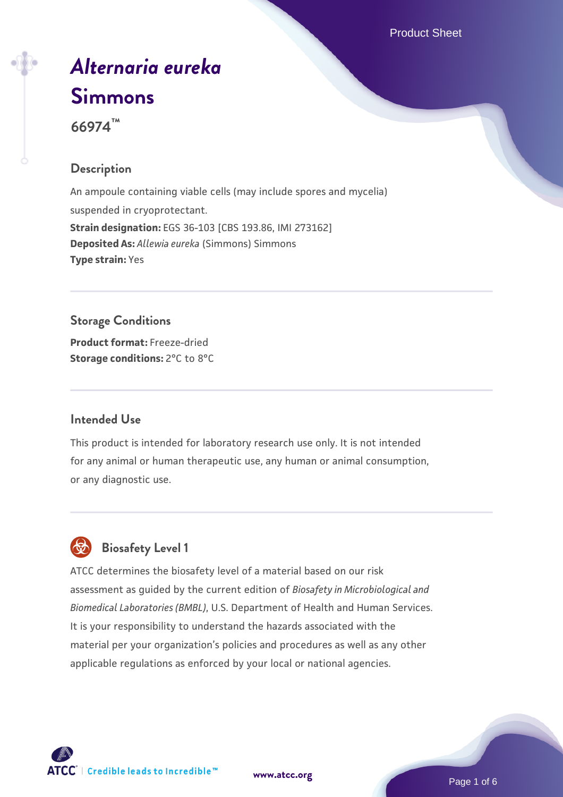# *[Alternaria eureka](https://www.atcc.org/products/66974)* **[Simmons](https://www.atcc.org/products/66974)**

**66974™**

#### **Description**

An ampoule containing viable cells (may include spores and mycelia) suspended in cryoprotectant. **Strain designation:** EGS 36-103 [CBS 193.86, IMI 273162] **Deposited As:** *Allewia eureka* (Simmons) Simmons **Type strain:** Yes

### **Storage Conditions**

**Product format:** Freeze-dried **Storage conditions:** 2°C to 8°C

#### **Intended Use**

This product is intended for laboratory research use only. It is not intended for any animal or human therapeutic use, any human or animal consumption, or any diagnostic use.

# **Biosafety Level 1**

ATCC determines the biosafety level of a material based on our risk assessment as guided by the current edition of *Biosafety in Microbiological and Biomedical Laboratories (BMBL)*, U.S. Department of Health and Human Services. It is your responsibility to understand the hazards associated with the material per your organization's policies and procedures as well as any other applicable regulations as enforced by your local or national agencies.



**[www.atcc.org](http://www.atcc.org)**

Page 1 of 6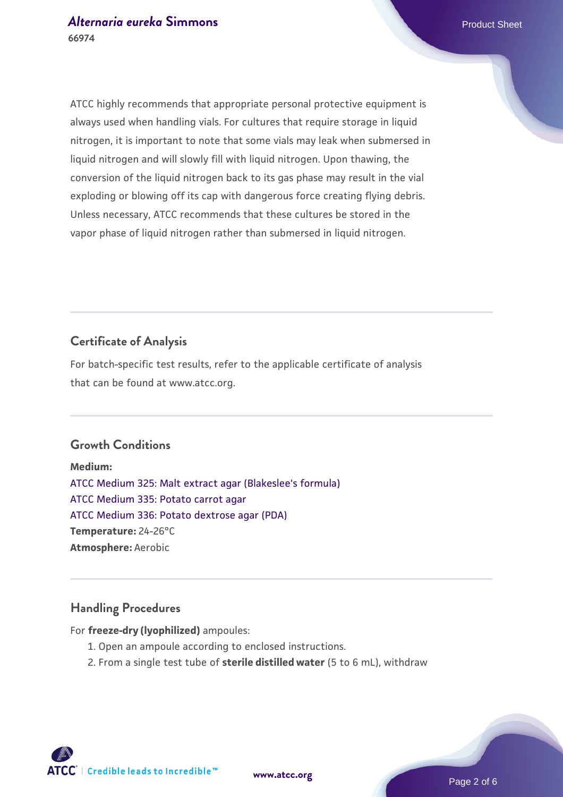ATCC highly recommends that appropriate personal protective equipment is always used when handling vials. For cultures that require storage in liquid nitrogen, it is important to note that some vials may leak when submersed in liquid nitrogen and will slowly fill with liquid nitrogen. Upon thawing, the conversion of the liquid nitrogen back to its gas phase may result in the vial exploding or blowing off its cap with dangerous force creating flying debris. Unless necessary, ATCC recommends that these cultures be stored in the vapor phase of liquid nitrogen rather than submersed in liquid nitrogen.

### **Certificate of Analysis**

For batch-specific test results, refer to the applicable certificate of analysis that can be found at www.atcc.org.

#### **Growth Conditions**

**Medium:**  [ATCC Medium 325: Malt extract agar \(Blakeslee's formula\)](https://www.atcc.org/-/media/product-assets/documents/microbial-media-formulations/3/2/5/atcc-medium-325.pdf?rev=146ec77015184a96912232dcb12386f9) [ATCC Medium 335: Potato carrot agar](https://www.atcc.org/-/media/product-assets/documents/microbial-media-formulations/3/3/5/atcc-medium-335.pdf?rev=a7055ab8b3c54646a9d0bdf7b34c1606) [ATCC Medium 336: Potato dextrose agar \(PDA\)](https://www.atcc.org/-/media/product-assets/documents/microbial-media-formulations/3/3/6/atcc-medium-336.pdf?rev=d9160ad44d934cd8b65175461abbf3b9) **Temperature:** 24-26°C **Atmosphere:** Aerobic

#### **Handling Procedures**

For **freeze-dry (lyophilized)** ampoules:

- 1. Open an ampoule according to enclosed instructions.
- 2. From a single test tube of **sterile distilled water** (5 to 6 mL), withdraw

**ATCC** | Credible leads to Incredible™

**[www.atcc.org](http://www.atcc.org)**

Page 2 of 6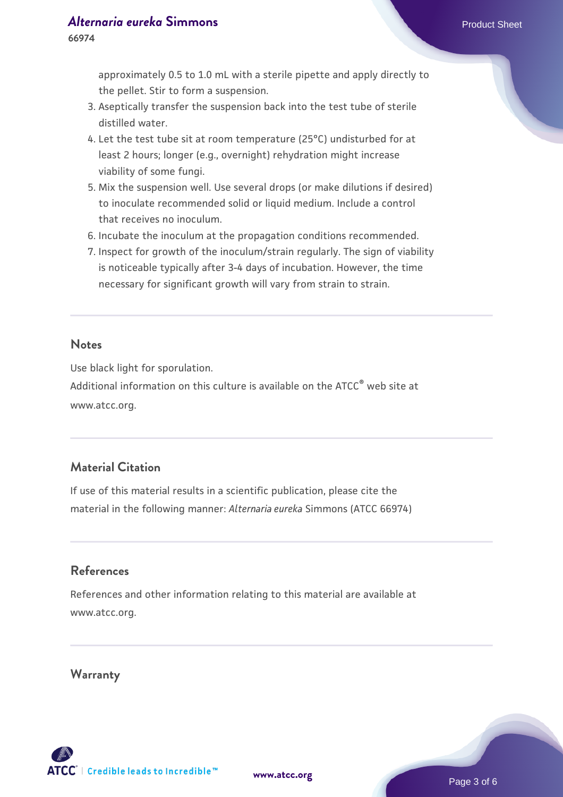#### *[Alternaria eureka](https://www.atcc.org/products/66974)* **[Simmons](https://www.atcc.org/products/66974) Product Sheet**

approximately 0.5 to 1.0 mL with a sterile pipette and apply directly to the pellet. Stir to form a suspension.

- 3. Aseptically transfer the suspension back into the test tube of sterile distilled water.
- 4. Let the test tube sit at room temperature (25°C) undisturbed for at least 2 hours; longer (e.g., overnight) rehydration might increase viability of some fungi.
- Mix the suspension well. Use several drops (or make dilutions if desired) 5. to inoculate recommended solid or liquid medium. Include a control that receives no inoculum.
- 6. Incubate the inoculum at the propagation conditions recommended.
- 7. Inspect for growth of the inoculum/strain regularly. The sign of viability is noticeable typically after 3-4 days of incubation. However, the time necessary for significant growth will vary from strain to strain.

#### **Notes**

Use black light for sporulation.

Additional information on this culture is available on the ATCC® web site at www.atcc.org.

#### **Material Citation**

If use of this material results in a scientific publication, please cite the material in the following manner: *Alternaria eureka* Simmons (ATCC 66974)

#### **References**

References and other information relating to this material are available at www.atcc.org.

#### **Warranty**

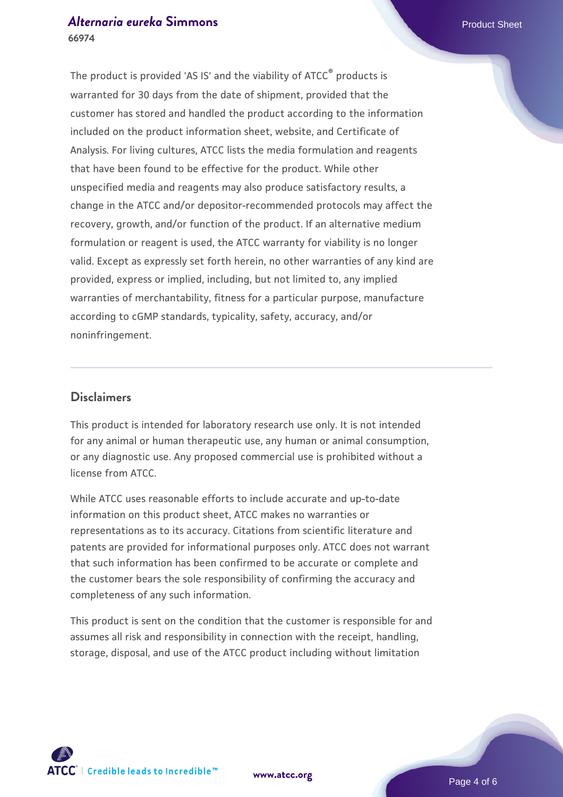#### *[Alternaria eureka](https://www.atcc.org/products/66974)* **[Simmons](https://www.atcc.org/products/66974) Product Sheet 66974**

The product is provided 'AS IS' and the viability of ATCC® products is warranted for 30 days from the date of shipment, provided that the customer has stored and handled the product according to the information included on the product information sheet, website, and Certificate of Analysis. For living cultures, ATCC lists the media formulation and reagents that have been found to be effective for the product. While other unspecified media and reagents may also produce satisfactory results, a change in the ATCC and/or depositor-recommended protocols may affect the recovery, growth, and/or function of the product. If an alternative medium formulation or reagent is used, the ATCC warranty for viability is no longer valid. Except as expressly set forth herein, no other warranties of any kind are provided, express or implied, including, but not limited to, any implied warranties of merchantability, fitness for a particular purpose, manufacture according to cGMP standards, typicality, safety, accuracy, and/or noninfringement.

#### **Disclaimers**

This product is intended for laboratory research use only. It is not intended for any animal or human therapeutic use, any human or animal consumption, or any diagnostic use. Any proposed commercial use is prohibited without a license from ATCC.

While ATCC uses reasonable efforts to include accurate and up-to-date information on this product sheet, ATCC makes no warranties or representations as to its accuracy. Citations from scientific literature and patents are provided for informational purposes only. ATCC does not warrant that such information has been confirmed to be accurate or complete and the customer bears the sole responsibility of confirming the accuracy and completeness of any such information.

This product is sent on the condition that the customer is responsible for and assumes all risk and responsibility in connection with the receipt, handling, storage, disposal, and use of the ATCC product including without limitation



**[www.atcc.org](http://www.atcc.org)**

Page 4 of 6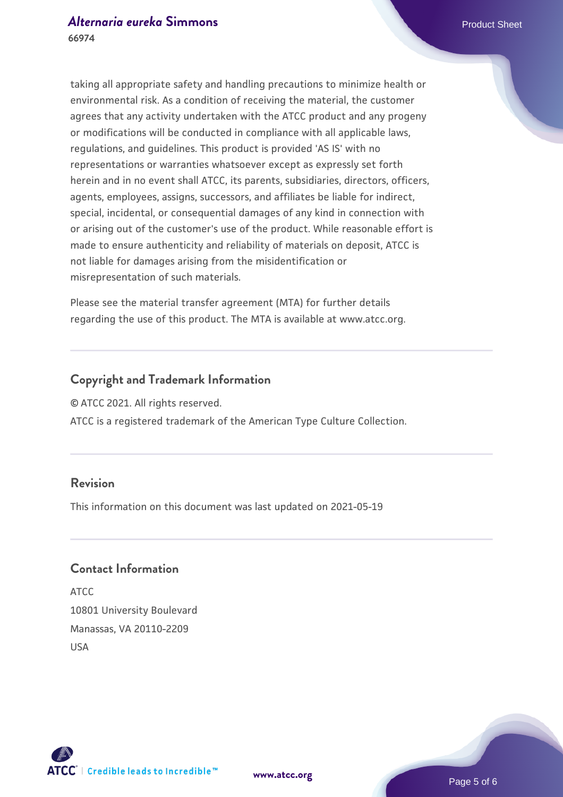taking all appropriate safety and handling precautions to minimize health or environmental risk. As a condition of receiving the material, the customer agrees that any activity undertaken with the ATCC product and any progeny or modifications will be conducted in compliance with all applicable laws, regulations, and guidelines. This product is provided 'AS IS' with no representations or warranties whatsoever except as expressly set forth herein and in no event shall ATCC, its parents, subsidiaries, directors, officers, agents, employees, assigns, successors, and affiliates be liable for indirect, special, incidental, or consequential damages of any kind in connection with or arising out of the customer's use of the product. While reasonable effort is made to ensure authenticity and reliability of materials on deposit, ATCC is not liable for damages arising from the misidentification or misrepresentation of such materials.

Please see the material transfer agreement (MTA) for further details regarding the use of this product. The MTA is available at www.atcc.org.

#### **Copyright and Trademark Information**

© ATCC 2021. All rights reserved.

ATCC is a registered trademark of the American Type Culture Collection.

#### **Revision**

This information on this document was last updated on 2021-05-19

#### **Contact Information**

ATCC 10801 University Boulevard Manassas, VA 20110-2209 USA